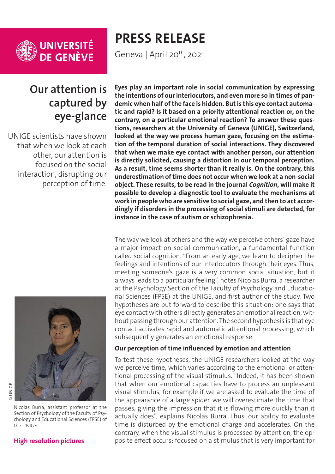

## **Our attention is captured by eye-glance**

UNIGE scientists have shown that when we look at each other, our attention is focused on the social interaction, disrupting our perception of time.



Nicolas Burra, assistant professor at the Section of Psychology of the Faculty of Psychology and Educational Sciences (FPSE) of the UNIGE.

# **PRESS RELEASE**

Geneva | April 20<sup>th</sup>, 2021

**Eyes play an important role in social communication by expressing the intentions of our interlocutors, and even more so in times of pandemic when half of the face is hidden. But is this eye contact automatic and rapid? Is it based on a priority attentional reaction or, on the contrary, on a particular emotional reaction? To answer these questions, researchers at the University of Geneva (UNIGE), Switzerland, looked at the way we process human gaze, focusing on the estimation of the temporal duration of social interactions. They discovered that when we make eye contact with another person, our attention is directly solicited, causing a distortion in our temporal perception. As a result, time seems shorter than it really is. On the contrary, this underestimation of time does not occur when we look at a non-social object. These results, to be read in the journal** *Cognition***, will make it possible to develop a diagnostic tool to evaluate the mechanisms at work in people who are sensitive to social gaze, and then to act accordingly if disorders in the processing of social stimuli are detected, for instance in the case of autism or schizophrenia.**

The way we look at others and the way we perceive others' gaze have a major impact on social communication, a fundamental function called social cognition. "From an early age, we learn to decipher the feelings and intentions of our interlocutors through their eyes. Thus, meeting someone's gaze is a very common social situation, but it always leads to a particular feeling", notes Nicolas Burra, a researcher at the Psychology Section of the Faculty of Psychology and Educational Sciences (FPSE) at the UNIGE, and first author of the study. Two hypotheses are put forward to describe this situation: one says that eye contact with others directly generates an emotional reaction, without passing through our attention. The second hypothesis is that eye contact activates rapid and automatic attentional processing, which subsequently generates an emotional response.

#### **Our perception of time influenced by emotion and attention**

To test these hypotheses, the UNIGE researchers looked at the way we perceive time, which varies according to the emotional or attentional processing of the visual stimulus. "Indeed, it has been shown that when our emotional capacities have to process an unpleasant visual stimulus, for example if we are asked to evaluate the time of the appearance of a large spider, we will overestimate the time that passes, giving the impression that it is flowing more quickly than it actually does", explains Nicolas Burra. Thus, our ability to evaluate time is disturbed by the emotional charge and accelerates. On the contrary, when the visual stimulus is processed by attention, the opposite effect occurs: focused on a stimulus that is very important for